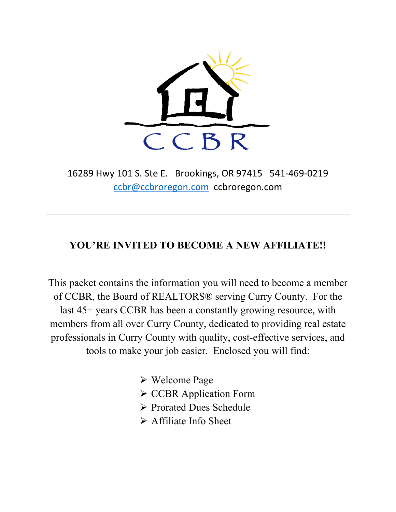

16289 Hwy 101 S. Ste E. Brookings, OR 97415 541-469-0219 [ccbr@ccbroregon.com](mailto:ccbr@ccbroregon.com) ccbroregon.com

### **YOU'RE INVITED TO BECOME A NEW AFFILIATE!!**

This packet contains the information you will need to become a member of CCBR, the Board of REALTORS® serving Curry County. For the last 45+ years CCBR has been a constantly growing resource, with members from all over Curry County, dedicated to providing real estate professionals in Curry County with quality, cost-effective services, and tools to make your job easier. Enclosed you will find:

Welcome Page

- **► CCBR Application Form**
- Prorated Dues Schedule
- $\triangleright$  Affiliate Info Sheet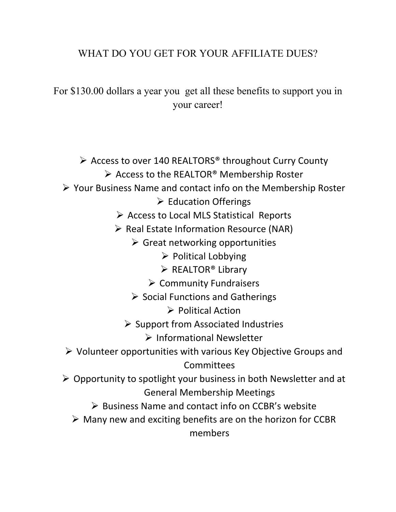# WHAT DO YOU GET FOR YOUR AFFILIATE DUES?

For \$130.00 dollars a year you get all these benefits to support you in your career!

 $\triangleright$  Access to over 140 REALTORS<sup>®</sup> throughout Curry County  $\triangleright$  Access to the REALTOR® Membership Roster

## Your Business Name and contact info on the Membership Roster

- $\triangleright$  Education Offerings
- $\triangleright$  Access to Local MLS Statistical Reports
- Real Estate Information Resource (NAR)
	- $\triangleright$  Great networking opportunities
		- $\triangleright$  Political Lobbying
		- $\triangleright$  REALTOR<sup>®</sup> Library
		- $\triangleright$  Community Fundraisers
	- $\triangleright$  Social Functions and Gatherings
		- $\triangleright$  Political Action
	- $\triangleright$  Support from Associated Industries
		- $\triangleright$  Informational Newsletter
- $\triangleright$  Volunteer opportunities with various Key Objective Groups and **Committees**
- $\triangleright$  Opportunity to spotlight your business in both Newsletter and at General Membership Meetings
	- $\triangleright$  Business Name and contact info on CCBR's website
	- $\triangleright$  Many new and exciting benefits are on the horizon for CCBR members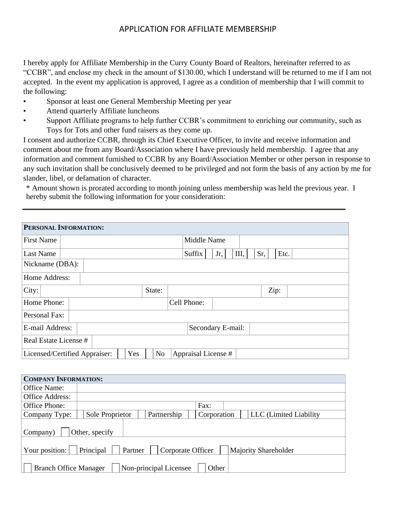#### APPLICATION FOR AFFILIATE MEMBERSHIP

I hereby apply for Affiliate Membership in the Curry County Board of Realtors, hereinafter referred to as "CCBR", and enclose my check in the amount of \$130.00, which I understand will be returned to me if I am not accepted. In the event my application is approved, I agree as a condition of membership that I will commit to the following:

- Sponsor at least one General Membership Meeting per year
- Attend quarterly Affiliate luncheons
- Support Affiliate programs to help further CCBR's commitment to enriching our community, such as Toys for Tots and other fund raisers as they come up.

I consent and authorize CCBR, through its Chief Executive Officer, to invite and receive information and comment about me from any Board/Association where I have previously held membership. I agree that any information and comment furnished to CCBR by any Board/Association Member or other person in response to any such invitation shall be conclusively deemed to be privileged and not form the basis of any action by me for slander, libel, or defamation of character.

\* Amount shown is prorated according to month joining unless membership was held the previous year. I hereby submit the following information for your consideration:

| PERSONAL INFORMATION:                                                         |                                      |  |  |  |  |  |
|-------------------------------------------------------------------------------|--------------------------------------|--|--|--|--|--|
| <b>First Name</b>                                                             | Middle Name                          |  |  |  |  |  |
| Last Name                                                                     | Sr,<br>Suffix<br>III,<br>Etc.<br>Jr, |  |  |  |  |  |
| Nickname (DBA):                                                               |                                      |  |  |  |  |  |
| Home Address:                                                                 |                                      |  |  |  |  |  |
| City:<br>State:                                                               | Zip:                                 |  |  |  |  |  |
| Home Phone:                                                                   | Cell Phone:                          |  |  |  |  |  |
| Personal Fax:                                                                 |                                      |  |  |  |  |  |
| E-mail Address:                                                               | Secondary E-mail:                    |  |  |  |  |  |
| Real Estate License #                                                         |                                      |  |  |  |  |  |
| Yes<br>Appraisal License #<br>N <sub>o</sub><br>Licensed/Certified Appraiser: |                                      |  |  |  |  |  |

| <b>COMPANY INFORMATION:</b>                                                         |                 |                        |             |  |                        |
|-------------------------------------------------------------------------------------|-----------------|------------------------|-------------|--|------------------------|
| Office Name:                                                                        |                 |                        |             |  |                        |
| Office Address:                                                                     |                 |                        |             |  |                        |
| Office Phone:                                                                       |                 |                        | Fax:        |  |                        |
| Company Type:                                                                       | Sole Proprietor | Partnership            | Corporation |  | LLC (Limited Liability |
| Other, specify<br>Company)                                                          |                 |                        |             |  |                        |
| Your position:<br>Principal<br>Partner<br>Corporate Officer<br>Majority Shareholder |                 |                        |             |  |                        |
| <b>Branch Office Manager</b>                                                        |                 | Non-principal Licensee | Other       |  |                        |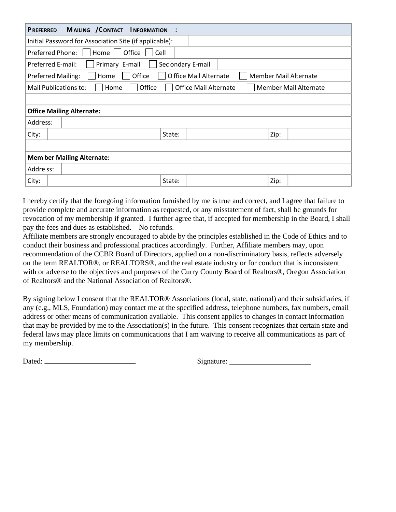| MAILING / CONTACT<br><b>INFORMATION</b><br><b>PREFERRED</b>                                           |  |  |  |  |
|-------------------------------------------------------------------------------------------------------|--|--|--|--|
| Initial Password for Association Site (if applicable):                                                |  |  |  |  |
| Office<br><b>Preferred Phone:</b><br>Home<br>Cell                                                     |  |  |  |  |
| Primary E-mail<br>Sec ondary E-mail<br>Preferred E-mail:                                              |  |  |  |  |
| Office<br>O ffice Mail Alternate<br><b>Member Mail Alternate</b><br><b>Preferred Mailing:</b><br>Home |  |  |  |  |
| Office<br><b>Office Mail Alternate</b><br>Member Mail Alternate<br>Mail Publications to:<br>Home      |  |  |  |  |
|                                                                                                       |  |  |  |  |
| <b>Office Mailing Alternate:</b>                                                                      |  |  |  |  |
| Address:                                                                                              |  |  |  |  |
| Zip:<br>City:<br>State:                                                                               |  |  |  |  |
|                                                                                                       |  |  |  |  |
| <b>Mem ber Mailing Alternate:</b>                                                                     |  |  |  |  |
| Addre ss:                                                                                             |  |  |  |  |
| Zip:<br>State:<br>City:                                                                               |  |  |  |  |

I hereby certify that the foregoing information furnished by me is true and correct, and I agree that failure to provide complete and accurate information as requested, or any misstatement of fact, shall be grounds for revocation of my membership if granted. I further agree that, if accepted for membership in the Board, I shall pay the fees and dues as established. No refunds.

Affiliate members are strongly encouraged to abide by the principles established in the Code of Ethics and to conduct their business and professional practices accordingly. Further, Affiliate members may, upon recommendation of the CCBR Board of Directors, applied on a non-discriminatory basis, reflects adversely on the term REALTOR®, or REALTORS®, and the real estate industry or for conduct that is inconsistent with or adverse to the objectives and purposes of the Curry County Board of Realtors®, Oregon Association of Realtors® and the National Association of Realtors®.

By signing below I consent that the REALTOR® Associations (local, state, national) and their subsidiaries, if any (e.g., MLS, Foundation) may contact me at the specified address, telephone numbers, fax numbers, email address or other means of communication available. This consent applies to changes in contact information that may be provided by me to the Association(s) in the future. This consent recognizes that certain state and federal laws may place limits on communications that I am waiving to receive all communications as part of my membership.

Dated: Signature: \_\_\_\_\_\_\_\_\_\_\_\_\_\_\_\_\_\_\_\_\_\_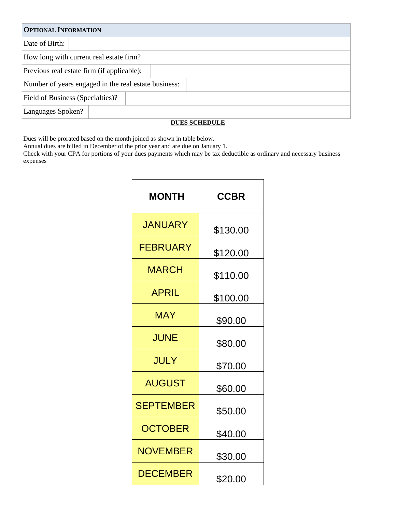| <b>OPTIONAL INFORMATION</b>                          |                                            |  |  |  |
|------------------------------------------------------|--------------------------------------------|--|--|--|
| Date of Birth:                                       |                                            |  |  |  |
|                                                      | How long with current real estate firm?    |  |  |  |
|                                                      | Previous real estate firm (if applicable): |  |  |  |
| Number of years engaged in the real estate business: |                                            |  |  |  |
| Field of Business (Specialties)?                     |                                            |  |  |  |
| Languages Spoken?                                    |                                            |  |  |  |

#### **DUES SCHEDULE**

Dues will be prorated based on the month joined as shown in table below.

Annual dues are billed in December of the prior year and are due on January 1.

Check with your CPA for portions of your dues payments which may be tax deductible as ordinary and necessary business expenses

| <b>MONTH</b>     | <b>CCBR</b> |
|------------------|-------------|
| <b>JANUARY</b>   | \$130.00    |
| <b>FEBRUARY</b>  | \$120.00    |
| <b>MARCH</b>     | \$110.00    |
| <b>APRIL</b>     | \$100.00    |
| <b>MAY</b>       | \$90.00     |
| <b>JUNE</b>      | \$80.00     |
| JULY             | \$70.00     |
| <b>AUGUST</b>    | \$60.00     |
| <b>SEPTEMBER</b> | \$50.00     |
| <b>OCTOBER</b>   | \$40.00     |
| <b>NOVEMBER</b>  | \$30.00     |
| <b>DECEMBER</b>  | \$20.00     |